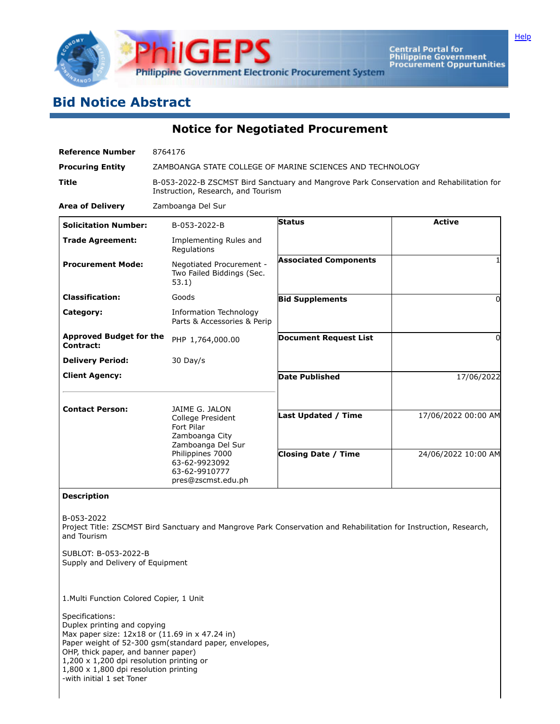

Central Portal for<br>Philippine Government<br>Procurement Oppurtunities

## **Bid Notice Abstract**

**Notice for Negotiated Procurement**

| <b>Reference Number</b>                     | 8764176                                                                                                                        |                              |                     |
|---------------------------------------------|--------------------------------------------------------------------------------------------------------------------------------|------------------------------|---------------------|
| <b>Procuring Entity</b>                     | ZAMBOANGA STATE COLLEGE OF MARINE SCIENCES AND TECHNOLOGY                                                                      |                              |                     |
| Title                                       | B-053-2022-B ZSCMST Bird Sanctuary and Mangrove Park Conservation and Rehabilitation for<br>Instruction, Research, and Tourism |                              |                     |
| <b>Area of Delivery</b>                     | Zamboanga Del Sur                                                                                                              |                              |                     |
| <b>Solicitation Number:</b>                 | B-053-2022-B                                                                                                                   | <b>Status</b>                | <b>Active</b>       |
| <b>Trade Agreement:</b>                     | Implementing Rules and<br>Regulations                                                                                          |                              |                     |
| <b>Procurement Mode:</b>                    | Negotiated Procurement -<br>Two Failed Biddings (Sec.<br>53.1)                                                                 | <b>Associated Components</b> |                     |
| <b>Classification:</b>                      | Goods                                                                                                                          | <b>Bid Supplements</b>       | 0                   |
| Category:                                   | Information Technology<br>Parts & Accessories & Perip                                                                          |                              |                     |
| <b>Approved Budget for the</b><br>Contract: | PHP 1,764,000.00                                                                                                               | <b>Document Request List</b> | $\Omega$            |
| <b>Delivery Period:</b>                     | 30 Day/s                                                                                                                       |                              |                     |
| <b>Client Agency:</b>                       |                                                                                                                                | <b>Date Published</b>        | 17/06/2022          |
| <b>Contact Person:</b>                      | JAIME G. JALON                                                                                                                 |                              |                     |
|                                             | College President<br>Fort Pilar<br>Zamboanga City<br>Zamboanga Del Sur                                                         | <b>Last Updated / Time</b>   | 17/06/2022 00:00 AM |
|                                             | Philippines 7000<br>63-62-9923092<br>63-62-9910777<br>pres@zscmst.edu.ph                                                       | <b>Closing Date / Time</b>   | 24/06/2022 10:00 AM |
| <b>Description</b>                          |                                                                                                                                |                              |                     |
| B-053-2022                                  |                                                                                                                                |                              |                     |

Project Title: ZSCMST Bird Sanctuary and Mangrove Park Conservation and Rehabilitation for Instruction, Research, and Tourism

SUBLOT: B-053-2022-B Supply and Delivery of Equipment

1.Multi Function Colored Copier, 1 Unit

Specifications: Duplex printing and copying Max paper size: 12x18 or (11.69 in x 47.24 in) Paper weight of 52-300 gsm(standard paper, envelopes, OHP, thick paper, and banner paper) 1,200 x 1,200 dpi resolution printing or 1,800 x 1,800 dpi resolution printing -with initial 1 set Toner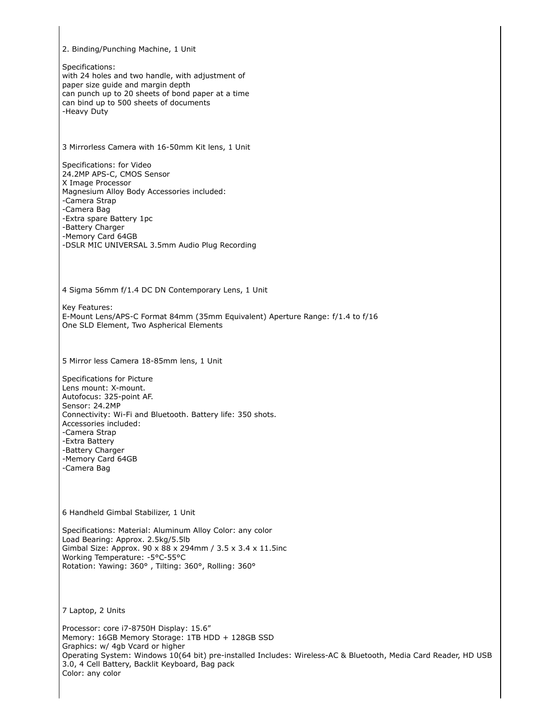2. Binding/Punching Machine, 1 Unit Specifications: with 24 holes and two handle, with adjustment of paper size guide and margin depth can punch up to 20 sheets of bond paper at a time can bind up to 500 sheets of documents -Heavy Duty 3 Mirrorless Camera with 16-50mm Kit lens, 1 Unit Specifications: for Video 24.2MP APS-C, CMOS Sensor X Image Processor Magnesium Alloy Body Accessories included: -Camera Strap -Camera Bag -Extra spare Battery 1pc -Battery Charger -Memory Card 64GB -DSLR MIC UNIVERSAL 3.5mm Audio Plug Recording 4 Sigma 56mm f/1.4 DC DN Contemporary Lens, 1 Unit Key Features: E-Mount Lens/APS-C Format 84mm (35mm Equivalent) Aperture Range: f/1.4 to f/16 One SLD Element, Two Aspherical Elements 5 Mirror less Camera 18-85mm lens, 1 Unit Specifications for Picture Lens mount: X-mount. Autofocus: 325-point AF. Sensor: 24.2MP Connectivity: Wi-Fi and Bluetooth. Battery life: 350 shots. Accessories included: -Camera Strap -Extra Battery -Battery Charger -Memory Card 64GB -Camera Bag 6 Handheld Gimbal Stabilizer, 1 Unit Specifications: Material: Aluminum Alloy Color: any color Load Bearing: Approx. 2.5kg/5.5lb Gimbal Size: Approx. 90 x 88 x 294mm / 3.5 x 3.4 x 11.5inc Working Temperature: -5°C-55°C Rotation: Yawing: 360° , Tilting: 360°, Rolling: 360° 7 Laptop, 2 Units Processor: core i7-8750H Display: 15.6" Memory: 16GB Memory Storage: 1TB HDD + 128GB SSD Graphics: w/ 4gb Vcard or higher Operating System: Windows 10(64 bit) pre-installed Includes: Wireless-AC & Bluetooth, Media Card Reader, HD USB 3.0, 4 Cell Battery, Backlit Keyboard, Bag pack Color: any color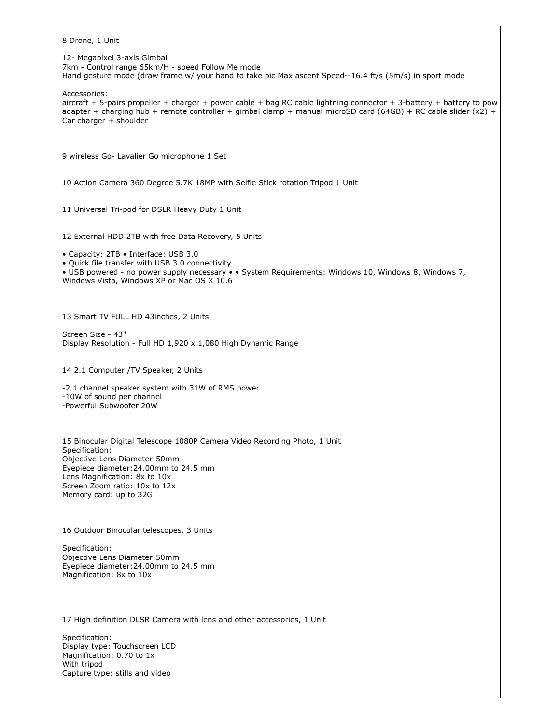8 Drone, 1 Unit 12- Megapixel 3-axis Gimbal 7km - Control range 65km/H - speed Follow Me mode Hand gesture mode (draw frame w/ your hand to take pic Max ascent Speed--16.4 ft/s (5m/s) in sport mode Accessories: aircraft + 5-pairs propeller + charger + power cable + bag RC cable lightning connector + 3-battery + battery to pow adapter + charging hub + remote controller + gimbal clamp + manual microSD card (64GB) + RC cable slider (x2) + Car charger + shoulder 9 wireless Go- Lavalier Go microphone 1 Set 10 Action Camera 360 Degree 5.7K 18MP with Selfie Stick rotation Tripod 1 Unit 11 Universal Tri-pod for DSLR Heavy Duty 1 Unit 12 External HDD 2TB with free Data Recovery, 5 Units • Capacity: 2TB • Interface: USB 3.0 • Quick file transfer with USB 3.0 connectivity • USB powered - no power supply necessary • • System Requirements: Windows 10, Windows 8, Windows 7, Windows Vista, Windows XP or Mac OS X 10.6 13 Smart TV FULL HD 43inches, 2 Units Screen Size - 43" Display Resolution - Full HD 1,920 x 1,080 High Dynamic Range 14 2.1 Computer /TV Speaker, 2 Units -2.1 channel speaker system with 31W of RMS power. -10W of sound per channel -Powerful Subwoofer 20W 15 Binocular Digital Telescope 1080P Camera Video Recording Photo, 1 Unit Specification: Objective Lens Diameter:50mm Eyepiece diameter:24.00mm to 24.5 mm Lens Magnification: 8x to 10x Screen Zoom ratio: 10x to 12x Memory card: up to 32G 16 Outdoor Binocular telescopes, 3 Units Specification: Objective Lens Diameter:50mm Eyepiece diameter:24.00mm to 24.5 mm Magnification: 8x to 10x 17 High definition DLSR Camera with lens and other accessories, 1 Unit Specification: Display type: Touchscreen LCD Magnification: 0.70 to 1x With tripod Capture type: stills and video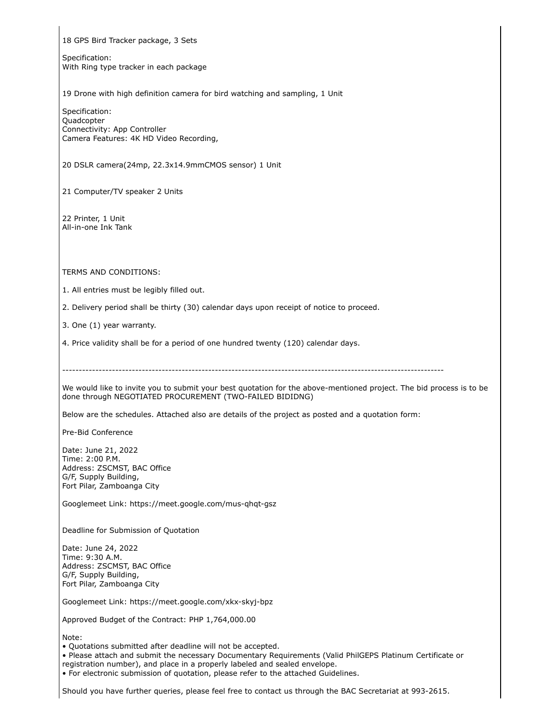18 GPS Bird Tracker package, 3 Sets

Specification: With Ring type tracker in each package

19 Drone with high definition camera for bird watching and sampling, 1 Unit

Specification: Quadcopter Connectivity: App Controller Camera Features: 4K HD Video Recording,

20 DSLR camera(24mp, 22.3x14.9mmCMOS sensor) 1 Unit

21 Computer/TV speaker 2 Units

22 Printer, 1 Unit All-in-one Ink Tank

TERMS AND CONDITIONS:

1. All entries must be legibly filled out.

2. Delivery period shall be thirty (30) calendar days upon receipt of notice to proceed.

3. One (1) year warranty.

4. Price validity shall be for a period of one hundred twenty (120) calendar days.

-------------------------------------------------------------------------------------------------------------------

We would like to invite you to submit your best quotation for the above-mentioned project. The bid process is to be done through NEGOTIATED PROCUREMENT (TWO-FAILED BIDIDNG)

Below are the schedules. Attached also are details of the project as posted and a quotation form:

Pre-Bid Conference

Date: June 21, 2022 Time: 2:00 P.M. Address: ZSCMST, BAC Office G/F, Supply Building, Fort Pilar, Zamboanga City

Googlemeet Link: https://meet.google.com/mus-qhqt-gsz

Deadline for Submission of Quotation

Date: June 24, 2022 Time: 9:30 A.M. Address: ZSCMST, BAC Office G/F, Supply Building, Fort Pilar, Zamboanga City

Googlemeet Link: https://meet.google.com/xkx-skyj-bpz

Approved Budget of the Contract: PHP 1,764,000.00

Note:

• Quotations submitted after deadline will not be accepted.

• Please attach and submit the necessary Documentary Requirements (Valid PhilGEPS Platinum Certificate or

registration number), and place in a properly labeled and sealed envelope.

• For electronic submission of quotation, please refer to the attached Guidelines.

Should you have further queries, please feel free to contact us through the BAC Secretariat at 993-2615.